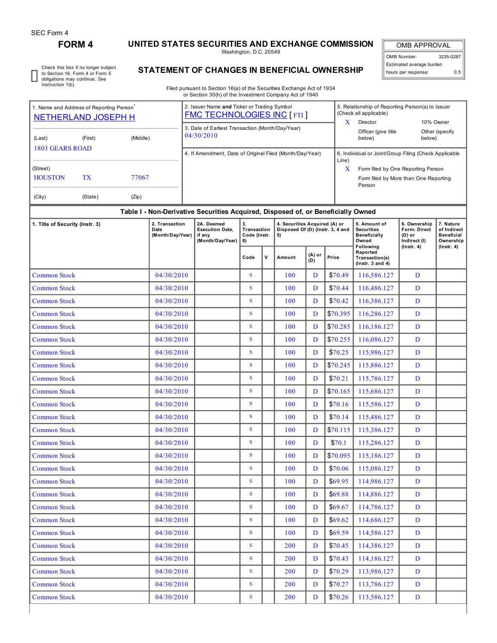# **FORM 4 UNITED STATES SECURITIES AND EXCHANGE COMMISSION**

Washington, D.C. 20549

OMB APPROVAL OMB Number: 3235-0287 Estimated average burden hours per response: 0.5

Check this box if no longer subject to Section 16. Form 4 or Form 5 obligations may continue. *See* Instruction 1(b).

# **STATEMENT OF CHANGES IN BENEFICIAL OWNERSHIP**

Filed pursuant to Section 16(a) of the Securities Exchange Act of 1934 or Section 30(h) of the Investment Company Act of 1940

| (City)<br>(State)<br>(Zip)<br>Table I - Non-Derivative Securities Acquired, Disposed of, or Beneficially Owned |                     |  |  |                                                                                  |  |  |                                                                                                          |                                                                |        |                 |  |  |
|----------------------------------------------------------------------------------------------------------------|---------------------|--|--|----------------------------------------------------------------------------------|--|--|----------------------------------------------------------------------------------------------------------|----------------------------------------------------------------|--------|-----------------|--|--|
|                                                                                                                |                     |  |  |                                                                                  |  |  |                                                                                                          |                                                                |        |                 |  |  |
| <b>HOUSTON</b><br><b>TX</b><br>77067                                                                           |                     |  |  |                                                                                  |  |  |                                                                                                          | Form filed by More than One Reporting<br>Person                |        |                 |  |  |
| (Street)                                                                                                       |                     |  |  |                                                                                  |  |  | x                                                                                                        | Form filed by One Reporting Person                             |        |                 |  |  |
| 1803 GEARS ROAD                                                                                                |                     |  |  | 4. If Amendment, Date of Original Filed (Month/Day/Year)                         |  |  |                                                                                                          | 6. Individual or Joint/Group Filing (Check Applicable<br>Line) |        |                 |  |  |
| (Last)                                                                                                         | (Middle)<br>(First) |  |  | 04/30/2010                                                                       |  |  |                                                                                                          | below)                                                         | below) |                 |  |  |
|                                                                                                                |                     |  |  | 3. Date of Earliest Transaction (Month/Day/Year)                                 |  |  |                                                                                                          | Officer (give title                                            |        | Other (specify) |  |  |
| 1. Name and Address of Reporting Person <sup>®</sup><br>NETHERLAND JOSEPH H                                    |                     |  |  | 2. Issuer Name and Ticker or Trading Symbol<br><b>FMC TECHNOLOGIES INC [FTI]</b> |  |  | 5. Relationship of Reporting Person(s) to Issuer<br>(Check all applicable)<br>x<br>Director<br>10% Owner |                                                                |        |                 |  |  |

| 1. Title of Security (Instr. 3) | 2. Transaction<br>Date<br>(Month/Day/Year) | 2A. Deemed<br><b>Execution Date,</b><br>if any<br>(Month/Day/Year) | 3.<br>Transaction<br>Code (Instr.<br>8) |             | 4. Securities Acquired (A) or<br>Disposed Of (D) (Instr. 3, 4 and<br>5) |                 |          | 5. Amount of<br><b>Securities</b><br><b>Beneficially</b><br>Owned | 6. Ownership<br><b>Form: Direct</b><br>$(D)$ or<br>Indirect (I) | 7. Nature<br>of Indirect<br><b>Beneficial</b><br>Ownership |
|---------------------------------|--------------------------------------------|--------------------------------------------------------------------|-----------------------------------------|-------------|-------------------------------------------------------------------------|-----------------|----------|-------------------------------------------------------------------|-----------------------------------------------------------------|------------------------------------------------------------|
|                                 |                                            |                                                                    | Code                                    | $\mathbf v$ | Amount                                                                  | $(A)$ or<br>(D) | Price    | Following<br>Reported<br>Transaction(s)<br>$($ Instr. 3 and 4 $)$ | $($ lnstr. 4 $)$                                                | $($ Instr. 4 $)$                                           |
| <b>Common Stock</b>             | 04/30/2010                                 |                                                                    | S                                       |             | 100                                                                     | D               | \$70.49  | 116,586.127                                                       | D                                                               |                                                            |
| <b>Common Stock</b>             | 04/30/2010                                 |                                                                    | S                                       |             | 100                                                                     | D               | \$70.44  | 116,486.127                                                       | D                                                               |                                                            |
| <b>Common Stock</b>             | 04/30/2010                                 |                                                                    | S                                       |             | 100                                                                     | D               | \$70.42  | 116,386.127                                                       | D                                                               |                                                            |
| <b>Common Stock</b>             | 04/30/2010                                 |                                                                    | S                                       |             | 100                                                                     | D               | \$70.395 | 116,286.127                                                       | $\mathbf{D}$                                                    |                                                            |
| <b>Common Stock</b>             | 04/30/2010                                 |                                                                    | S.                                      |             | 100                                                                     | D               | \$70.285 | 116,186.127                                                       | D                                                               |                                                            |
| <b>Common Stock</b>             | 04/30/2010                                 |                                                                    | S                                       |             | 100                                                                     | D               | \$70.255 | 116,086.127                                                       | D                                                               |                                                            |
| <b>Common Stock</b>             | 04/30/2010                                 |                                                                    | S                                       |             | 100                                                                     | D               | \$70.25  | 115,986.127                                                       | D                                                               |                                                            |
| <b>Common Stock</b>             | 04/30/2010                                 |                                                                    | S                                       |             | 100                                                                     | $\mathbf{D}$    | \$70.245 | 115,886.127                                                       | D                                                               |                                                            |
| <b>Common Stock</b>             | 04/30/2010                                 |                                                                    | S                                       |             | 100                                                                     | $\mathbf{D}$    | \$70.21  | 115,786.127                                                       | D                                                               |                                                            |
| <b>Common Stock</b>             | 04/30/2010                                 |                                                                    | S                                       |             | 100                                                                     | D               | \$70.165 | 115,686.127                                                       | D                                                               |                                                            |
| <b>Common Stock</b>             | 04/30/2010                                 |                                                                    | S                                       |             | 100                                                                     | D               | \$70.16  | 115,586.127                                                       | D                                                               |                                                            |
| <b>Common Stock</b>             | 04/30/2010                                 |                                                                    | S                                       |             | 100                                                                     | $\mathbf{D}$    | \$70.14  | 115,486.127                                                       | D                                                               |                                                            |
| <b>Common Stock</b>             | 04/30/2010                                 |                                                                    | S                                       |             | 100                                                                     | $\mathbf{D}$    | \$70.115 | 115,386.127                                                       | D                                                               |                                                            |
| <b>Common Stock</b>             | 04/30/2010                                 |                                                                    | S                                       |             | 100                                                                     | D               | \$70.1   | 115,286.127                                                       | D                                                               |                                                            |
| <b>Common Stock</b>             | 04/30/2010                                 |                                                                    | $\mathbf S$                             |             | 100                                                                     | D               | \$70.095 | 115,186.127                                                       | D                                                               |                                                            |
| <b>Common Stock</b>             | 04/30/2010                                 |                                                                    | $\mathbf{s}$                            |             | 100                                                                     | D               | \$70.06  | 115,086.127                                                       | D                                                               |                                                            |
| <b>Common Stock</b>             | 04/30/2010                                 |                                                                    | S                                       |             | 100                                                                     | D               | \$69.95  | 114,986.127                                                       | D                                                               |                                                            |
| <b>Common Stock</b>             | 04/30/2010                                 |                                                                    | S                                       |             | 100                                                                     | D               | \$69.88  | 114,886.127                                                       | D                                                               |                                                            |
| <b>Common Stock</b>             | 04/30/2010                                 |                                                                    | $\mathbf{s}$                            |             | 100                                                                     | D               | \$69.67  | 114,786.127                                                       | D                                                               |                                                            |
| <b>Common Stock</b>             | 04/30/2010                                 |                                                                    | S                                       |             | 100                                                                     | D               | \$69.62  | 114,686.127                                                       | D                                                               |                                                            |
| <b>Common Stock</b>             | 04/30/2010                                 |                                                                    | S                                       |             | 100                                                                     | D               | \$69.59  | 114,586.127                                                       | D                                                               |                                                            |
| <b>Common Stock</b>             | 04/30/2010                                 |                                                                    | S                                       |             | 200                                                                     | D               | \$70.45  | 114,386.127                                                       | D                                                               |                                                            |
| <b>Common Stock</b>             | 04/30/2010                                 |                                                                    | S                                       |             | 200                                                                     | D               | \$70.43  | 114,186.127                                                       | $\mathbf{D}$                                                    |                                                            |
| <b>Common Stock</b>             | 04/30/2010                                 |                                                                    | $\overline{\mathbf{S}}$                 |             | 200                                                                     | D               | \$70.29  | 113,986.127                                                       | D                                                               |                                                            |
| <b>Common Stock</b>             | 04/30/2010                                 |                                                                    | S                                       |             | 200                                                                     | D               | \$70.27  | 113,786.127                                                       | D                                                               |                                                            |
| <b>Common Stock</b>             | 04/30/2010                                 |                                                                    | S                                       |             | 200                                                                     | D               | \$70.26  | 113,586.127                                                       | D                                                               |                                                            |